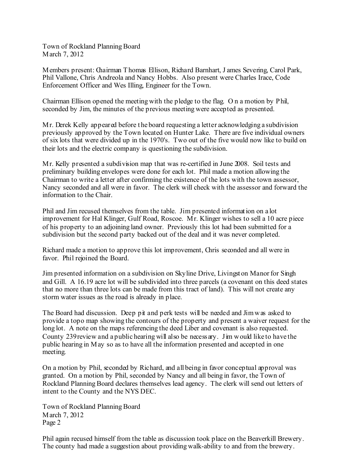Town of Rockland Planning Board March 7, 2012

Members present: Chairman Thomas Ellison, Richard Barnhart, J ames Severing, Carol Park, Phil Vallone, Chris Andreola and Nancy Hobbs. Also present were Charles Irace, Code Enforcement Officer and Wes Illing, Engineer for the Town.

Chairman Ellison opened the meeting with the pledge to the flag. O n a motion by Phil, seconded by Jim, the minutes of the previous meeting were accepted as presented.

Mr. Derek Kelly appeared before t he board requesting a letter acknowledging a subdivision previously approved by the Town located on Hunter Lake. There are five individual owners of six lots that were divided up in the 1970's. Two out of the five would now like to build on their lots and the electric company is questioning the subdivision.

Mr. Kelly presented a subdivision map that was re-certified in June 2008. Soil tests and preliminary building envelopes were done for each lot. Phil made a motion allowing the Chairman to write a letter after confirming the existence of the lots with the town assessor, Nancy seconded and all were in favor. The clerk will check with the assessor and forward the information to the Chair.

Phil and Jim recused themselves from the table. Jim presented information on a lot improvement for Hal Klinger, Gulf Road, Roscoe. Mr. Klinger wishes to sell a 10 acre piece of his property to an adjoining land owner. Previously this lot had been submitted for a subdivision but the second party backed out of the deal and it was never completed.

Richard made a motion to approve this lot improvement, Chris seconded and all were in favor. Phil rejoined the Board.

Jim presented information on a subdivision on Skyline Drive, Livingst on Manor for Singh and Gill. A 16.19 acre lot will be subdivided into three parcels (a covenant on this deed states that no more than three lots can be made from this tract of land). This will not create any storm water issues as the road is already in place.

The Board had discussion. Deep pit and perk tests will be needed and Jimwas asked to provide a topo map showing the contours of the property and present a waiver request for the long lot. A note on the maps referencing the deed Liber and covenant is also requested. County 239review and a public hearing will also be necess ary. Jim would like to have the public hearing in May so as to have all the information presented and accepted in one meeting.

On a motion by Phil, seconded by Richard, and all being in favor conceptual approval was granted. On a motion by Phil, seconded by Nancy and all being in favor, the Town of Rockland Planning Board declares themselves lead agency. The clerk will send out letters of intent to the County and the NYS DEC.

Town of Rockland Planning Board March 7, 2012 Page 2

Phil again recused himself from the table as discussion took place on the Beaverkill Brewery. The county had made a suggestion about providing walk-ability to and from the brewery.